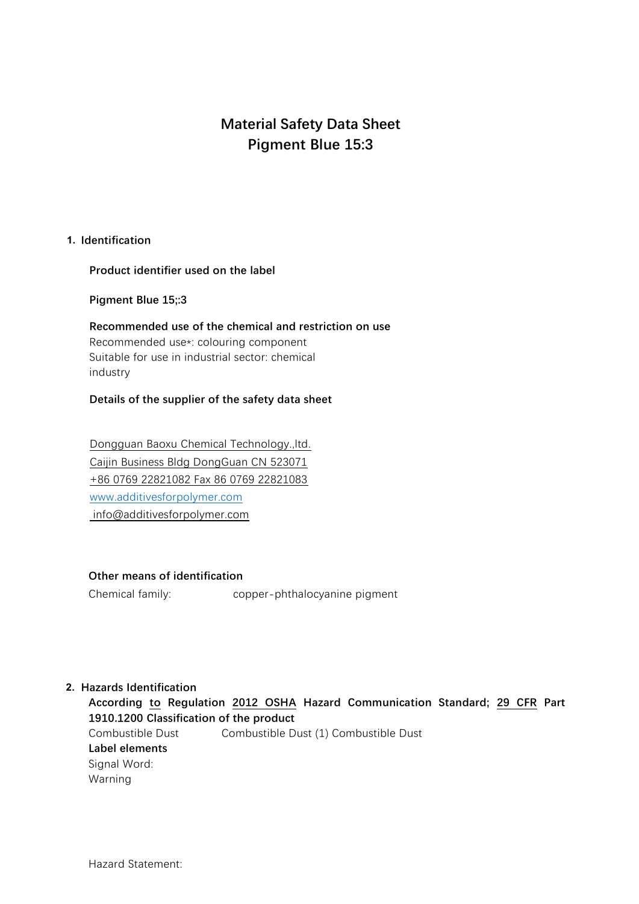# **Material Safety Data Sheet Pigment Blue 15:3**

# **1. Identification**

**Product identifier used on the label**

**Pigment Blue 15;:3**

**Recommended use of the chemical and restriction on use** Recommended use\*: colouring component Suitable for use in industrial sector: chemical industry

# **Details of the supplier of the safety data sheet**

Dongguan Baoxu Chemical Technology.,ltd. Caijin Business Bldg DongGuan CN 523071 +86 0769 22821082 Fax 86 0769 22821083 [www.additivesforpolymer.com](http://www.additivesforpolymer.com/) info@additivesforpolymer.com

### **Other means of identification**

Chemical family: copper-phthalocyanine pigment

# **2. Hazards Identification**

**According to Regulation 2012 OSHA Hazard Communication Standard; 29 CFR Part 1910.1200 Classification of the product** Combustible Dust Combustible Dust (1) Combustible Dust **Label elements** Signal Word: Warning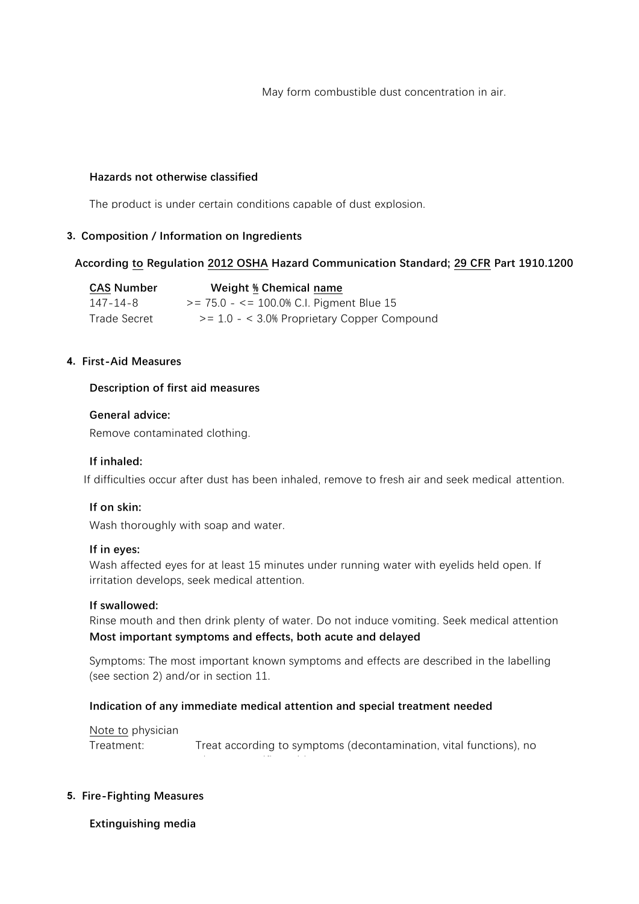May form combustible dust concentration in air.

# **Hazards not otherwise classified**

The product is under certain conditions capable of dust explosion.

## **3. Composition / Information on Ingredients**

# **According to Regulation 2012 OSHA Hazard Communication Standard; 29 CFR Part 1910.1200**

| <b>CAS Number</b> | Weight % Chemical name                           |
|-------------------|--------------------------------------------------|
| 147-14-8          | $>= 75.0 - \le 100.0\%$ C.I. Pigment Blue 15     |
| Trade Secret      | $\ge$ = 1.0 - < 3.0% Proprietary Copper Compound |

## **4. First-Aid Measures**

## **Description of first aid measures**

### **General advice:**

Remove contaminated clothing.

# **If inhaled:**

If difficulties occur after dust has been inhaled, remove to fresh air and seek medical attention.

# **If on skin:**

Wash thoroughly with soap and water.

### **If in eyes:**

Wash affected eyes for at least 15 minutes under running water with eyelids held open. If irritation develops, seek medical attention.

### **If swallowed:**

Rinse mouth and then drink plenty of water. Do not induce vomiting. Seek medical attention Most important symptoms and effects, both acute and delayed

Symptoms: The most important known symptoms and effects are described in the labelling (see section 2) and/or in section 11.

### **Indication of any immediate medical attention and special treatment needed**

known specific antidote.

Note to physician

Treatment: Treat according to symptoms (decontamination, vital functions), no

# **5. Fire-Fighting Measures**

# **Extinguishing media**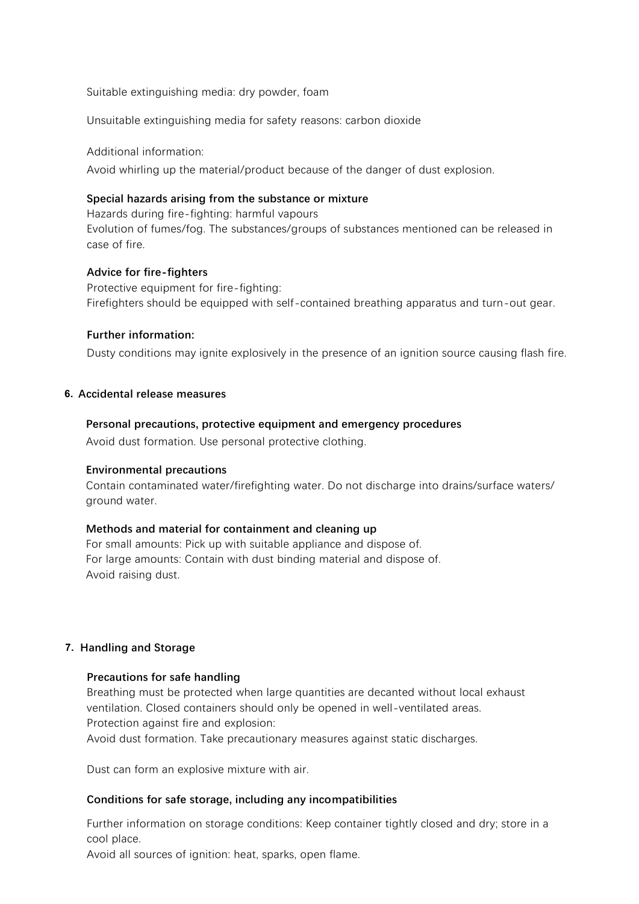Suitable extinguishing media: dry powder, foam

Unsuitable extinguishing media for safety reasons: carbon dioxide

Additional information: Avoid whirling up the material/product because of the danger of dust explosion.

# **Special hazards arising from the substance or mixture**

Hazards during fire-fighting: harmful vapours Evolution of fumes/fog. The substances/groups of substances mentioned can be released in case of fire.

### **Advice for fire-fighters**

Protective equipment for fire-fighting: Firefighters should be equipped with self-contained breathing apparatus and turn-out gear.

## **Further information:**

Dusty conditions may ignite explosively in the presence of an ignition source causing flash fire.

## **6. Accidental release measures**

## **Personal precautions, protective equipment and emergency procedures**

Avoid dust formation. Use personal protective clothing.

### **Environmental precautions**

Contain contaminated water/firefighting water. Do not discharge into drains/surface waters/ ground water.

### **Methods and material for containment and cleaning up**

For small amounts: Pick up with suitable appliance and dispose of. For large amounts: Contain with dust binding material and dispose of. Avoid raising dust.

### **7. Handling and Storage**

### **Precautions for safe handling**

Breathing must be protected when large quantities are decanted without local exhaust ventilation. Closed containers should only be opened in well-ventilated areas. Protection against fire and explosion:

Avoid dust formation. Take precautionary measures against static discharges.

Dust can form an explosive mixture with air.

# **Conditions for safe storage, including any incompatibilities**

Further information on storage conditions: Keep container tightly closed and dry; store in a cool place.

Avoid all sources of ignition: heat, sparks, open flame.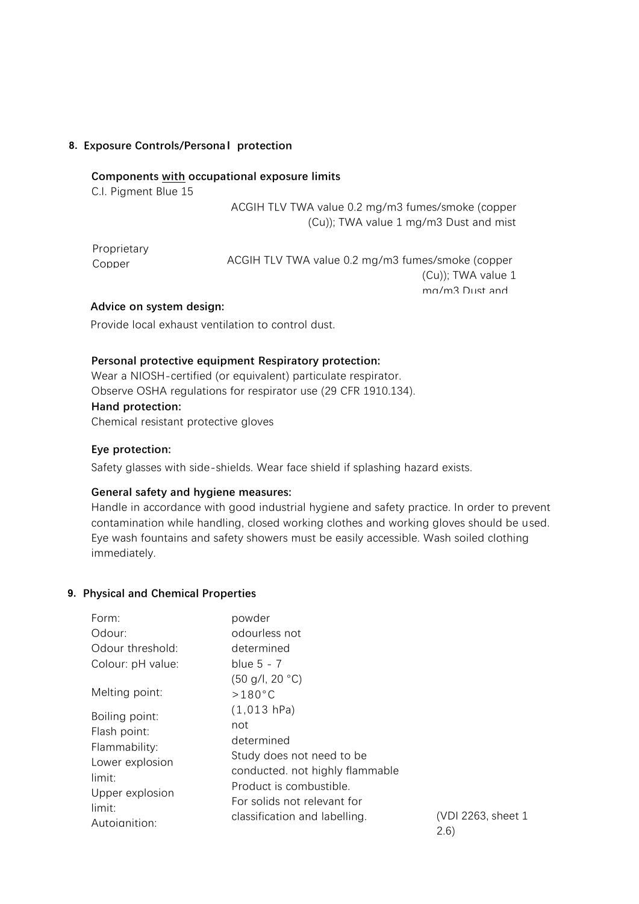# **8. Exposure Controls/Persona**l **protection**

### **Components with occupational exposure limits**

C.I. Pigment Blue 15

ACGIH TLV TWA value 0.2 mg/m3 fumes/smoke (copper (Cu)); TWA value 1 mg/m3 Dust and mist

Proprietary Copper ACGIH TLV TWA value 0.2 mg/m3 fumes/smoke (copper (Cu)); TWA value 1 mg/m3 Dust and

### **Advice on system design:**

Provide local exhaust ventilation to control dust.

### **Personal protective equipment Respiratory protection:**

Wear a NIOSH-certified (or equivalent) particulate respirator. Observe OSHA regulations for respirator use (29 CFR 1910.134). **Hand protection:** Chemical resistant protective gloves

### **Eye protection:**

Safety glasses with side-shields. Wear face shield if splashing hazard exists.

### **General safety and hygiene measures:**

Handle in accordance with good industrial hygiene and safety practice. In order to prevent contamination while handling, closed working clothes and working gloves should be used. Eye wash fountains and safety showers must be easily accessible. Wash soiled clothing immediately.

### **9. Physical and Chemical Properties**

| Form:                     | powder                                                     |  |  |  |
|---------------------------|------------------------------------------------------------|--|--|--|
| Odour:                    | odourless not                                              |  |  |  |
| Odour threshold:          | determined                                                 |  |  |  |
| Colour: pH value:         | blue $5 - 7$                                               |  |  |  |
|                           | (50 g/l, 20 °C)                                            |  |  |  |
| Melting point:            | $>180^{\circ}$ C                                           |  |  |  |
| Boiling point:            | $(1,013$ hPa)<br>not                                       |  |  |  |
| Flash point:              |                                                            |  |  |  |
| Flammability:             | determined                                                 |  |  |  |
| Lower explosion           | Study does not need to be                                  |  |  |  |
| limit:                    | conducted. not highly flammable<br>Product is combustible. |  |  |  |
| Upper explosion           |                                                            |  |  |  |
| limit:                    | For solids not relevant for                                |  |  |  |
| Autoianition <sup>.</sup> | classification and labelling.                              |  |  |  |

(VDI 2263, sheet 1, 2.6)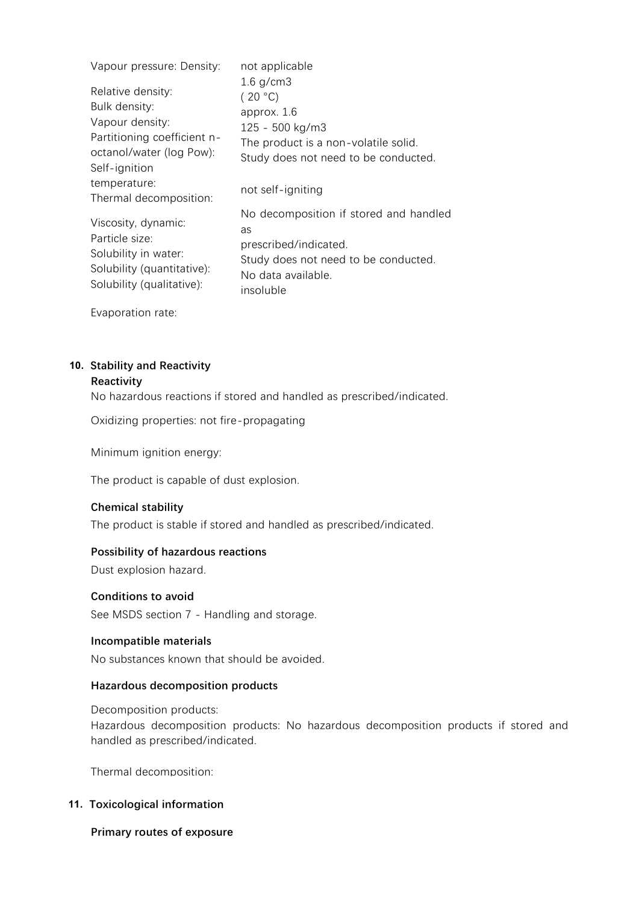| Vapour pressure: Density:                                                                                                         | not applicable                                                                                                                                   |  |
|-----------------------------------------------------------------------------------------------------------------------------------|--------------------------------------------------------------------------------------------------------------------------------------------------|--|
| Relative density:<br>Bulk density:<br>Vapour density:<br>Partitioning coefficient n-<br>octanol/water (log Pow):<br>Self-ignition | $1.6$ g/cm $3$<br>(20 °C)<br>approx. 1.6<br>125 - 500 kg/m3<br>The product is a non-volatile solid.<br>Study does not need to be conducted.      |  |
| temperature:<br>Thermal decomposition:                                                                                            | not self-igniting                                                                                                                                |  |
| Viscosity, dynamic:<br>Particle size:<br>Solubility in water:<br>Solubility (quantitative):<br>Solubility (qualitative):          | No decomposition if stored and handled<br>as<br>prescribed/indicated.<br>Study does not need to be conducted.<br>No data available.<br>insoluble |  |

Evaporation rate:

# **10. Stability and Reactivity**

# **Reactivity**

No hazardous reactions if stored and handled as prescribed/indicated.

Oxidizing properties: not fire-propagating

Minimum ignition energy:

The product is capable of dust explosion.

### **Chemical stability**

The product is stable if stored and handled as prescribed/indicated.

### **Possibility of hazardous reactions**

Dust explosion hazard.

### **Conditions to avoid**

See MSDS section 7 - Handling and storage.

### **Incompatible materials**

No substances known that should be avoided.

### **Hazardous decomposition products**

Decomposition products: Hazardous decomposition products: No hazardous decomposition products if stored and handled as prescribed/indicated.

Thermal decomposition:

# **11. Toxicological information**

#### **Primary routes of exposure**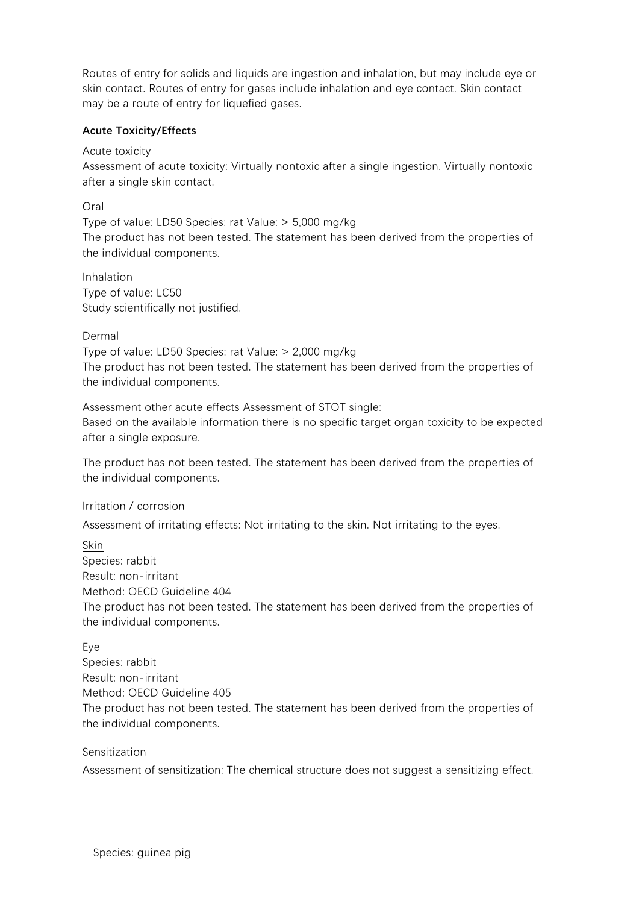Routes of entry for solids and liquids are ingestion and inhalation, but may include eye or skin contact. Routes of entry for gases include inhalation and eye contact. Skin contact may be a route of entry for liquefied gases.

# **Acute Toxicity/Effects**

Acute toxicity

Assessment of acute toxicity: Virtually nontoxic after a single ingestion. Virtually nontoxic after a single skin contact.

Oral

Type of value: LD50 Species: rat Value: > 5,000 mg/kg The product has not been tested. The statement has been derived from the properties of the individual components.

Inhalation Type of value: LC50 Study scientifically not justified.

Dermal

Type of value: LD50 Species: rat Value: > 2,000 mg/kg The product has not been tested. The statement has been derived from the properties of the individual components.

Assessment other acute effects Assessment of STOT single: Based on the available information there is no specific target organ toxicity to be expected after a single exposure.

The product has not been tested. The statement has been derived from the properties of the individual components.

Irritation / corrosion

Assessment of irritating effects: Not irritating to the skin. Not irritating to the eyes.

Skin Species: rabbit Result: non-irritant Method: OECD Guideline 404 The product has not been tested. The statement has been derived from the properties of the individual components.

Eye

Species: rabbit Result: non-irritant Method: OECD Guideline 405 The product has not been tested. The statement has been derived from the properties of the individual components.

Sensitization

Assessment of sensitization: The chemical structure does not suggest a sensitizing effect.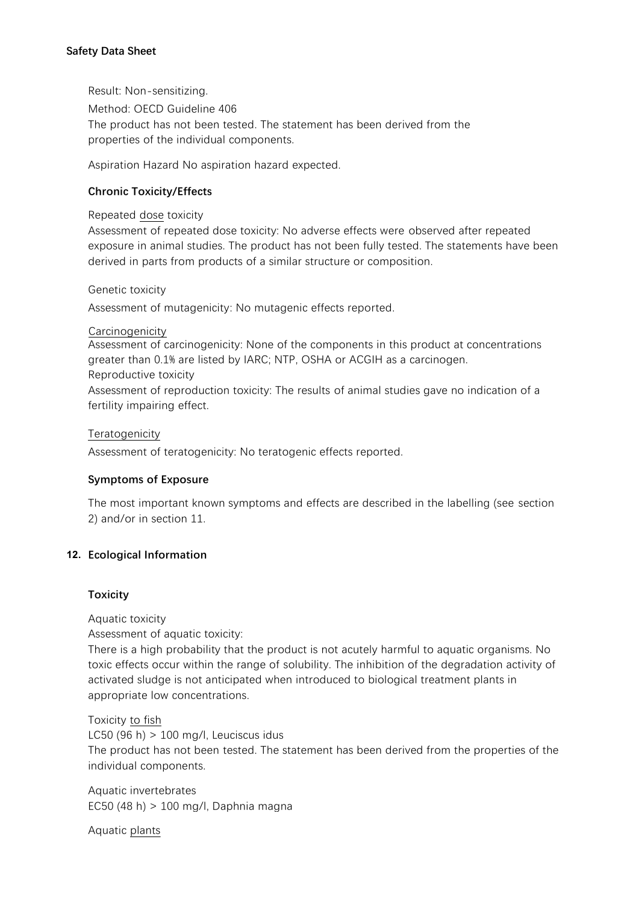# **Safety Data Sheet**

Result: Non-sensitizing. Method: OECD Guideline 406 The product has not been tested. The statement has been derived from the properties of the individual components.

Aspiration Hazard No aspiration hazard expected.

## **Chronic Toxicity/Effects**

Repeated dose toxicity

Assessment of repeated dose toxicity: No adverse effects were observed after repeated exposure in animal studies. The product has not been fully tested. The statements have been derived in parts from products of a similar structure or composition.

Genetic toxicity

Assessment of mutagenicity: No mutagenic effects reported.

### Carcinogenicity

Assessment of carcinogenicity: None of the components in this product at concentrations greater than 0.1% are listed by IARC; NTP, OSHA or ACGIH as a carcinogen.

### Reproductive toxicity

Assessment of reproduction toxicity: The results of animal studies gave no indication of a fertility impairing effect.

### **Teratogenicity**

Assessment of teratogenicity: No teratogenic effects reported.

### **Symptoms of Exposure**

The most important known symptoms and effects are described in the labelling (see section 2) and/or in section 11.

### **12. Ecological Information**

### **Toxicity**

Aquatic toxicity Assessment of aquatic toxicity:

There is a high probability that the product is not acutely harmful to aquatic organisms. No toxic effects occur within the range of solubility. The inhibition of the degradation activity of activated sludge is not anticipated when introduced to biological treatment plants in appropriate low concentrations.

Toxicity to fish LC50 (96 h) > 100 mg/l, Leuciscus idus The product has not been tested. The statement has been derived from the properties of the individual components.

Aquatic invertebrates EC50 (48 h) > 100 mg/l, Daphnia magna

The product has not been tested. The statement has been derived from the properties of the Aquatic plants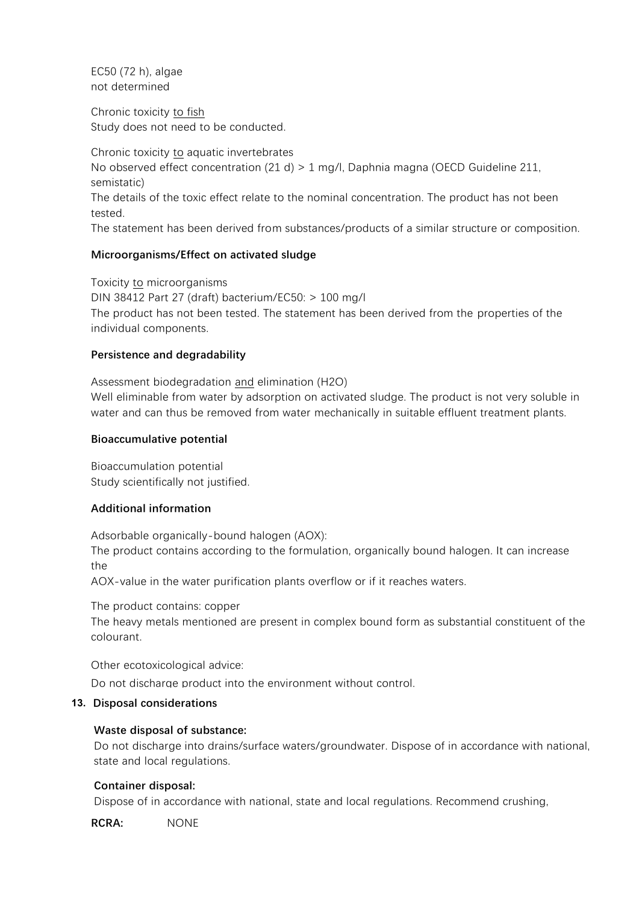EC50 (72 h), algae not determined

Chronic toxicity to fish Study does not need to be conducted.

Chronic toxicity to aquatic invertebrates No observed effect concentration (21 d) > 1 mg/l, Daphnia magna (OECD Guideline 211, semistatic) The details of the toxic effect relate to the nominal concentration. The product has not been tested. The statement has been derived from substances/products of a similar structure or composition.

# **Microorganisms/Effect on activated sludge**

Toxicity to microorganisms DIN 38412 Part 27 (draft) bacterium/EC50: > 100 mg/l The product has not been tested. The statement has been derived from the properties of the individual components.

# **Persistence and degradability**

Assessment biodegradation and elimination (H2O) Well eliminable from water by adsorption on activated sludge. The product is not very soluble in water and can thus be removed from water mechanically in suitable effluent treatment plants.

## **Bioaccumulative potential**

Bioaccumulation potential Study scientifically not justified.

# **Additional information**

Adsorbable organically-bound halogen (AOX):

The product contains according to the formulation, organically bound halogen. It can increase the

AOX-value in the water purification plants overflow or if it reaches waters.

The product contains: copper

The heavy metals mentioned are present in complex bound form as substantial constituent of the colourant.

Other ecotoxicological advice:

Do not discharge product into the environment without control.

# **13. Disposal considerations**

# **Waste disposal of substance:**

Do not discharge into drains/surface waters/groundwater. Dispose of in accordance with national, state and local regulations.

# **Container disposal:**

Dispose of in accordance with national, state and local regulations. Recommend crushing,

puncturing or other means to prevent unauthorized use of used containers. **RCRA:** NONE